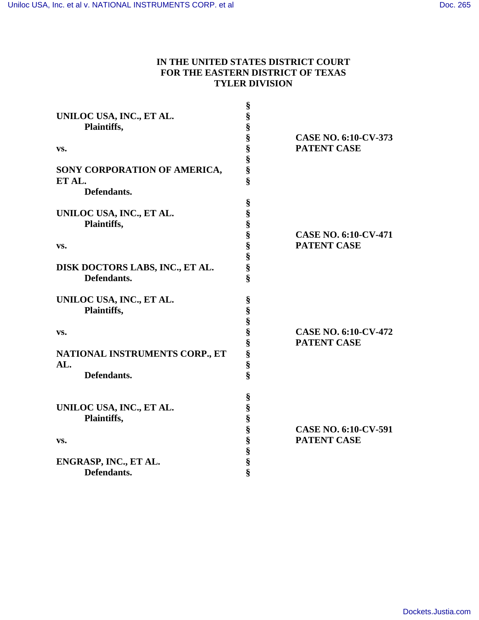### **IN THE UNITED STATES DISTRICT COURT FOR THE EASTERN DISTRICT OF TEXAS TYLER DIVISION**

| UNILOC USA, INC., ET AL.<br>Plaintiffs,<br>VS.<br>SONY CORPORATION OF AMERICA,<br>ET AL.<br>Defendants. | §<br>es es es es es es es es              | <b>CASE NO. 6:10-CV-373</b><br><b>PATENT CASE</b> |
|---------------------------------------------------------------------------------------------------------|-------------------------------------------|---------------------------------------------------|
| UNILOC USA, INC., ET AL.<br>Plaintiffs,<br>VS.<br>DISK DOCTORS LABS, INC., ET AL.<br>Defendants.        | §<br>§<br>§<br>S<br>S<br>S<br>S<br>S<br>Ş | <b>CASE NO. 6:10-CV-471</b><br><b>PATENT CASE</b> |
| UNILOC USA, INC., ET AL.<br>Plaintiffs,<br>VS.<br>NATIONAL INSTRUMENTS CORP., ET<br>AL.<br>Defendants.  | §<br>§<br>es es es es es es               | <b>CASE NO. 6:10-CV-472</b><br><b>PATENT CASE</b> |
| UNILOC USA, INC., ET AL.<br>Plaintiffs,<br>VS.<br>ENGRASP, INC., ET AL.<br>Defendants.                  | §<br>§<br>§<br>SS SS SS SS SS             | <b>CASE NO. 6:10-CV-591</b><br><b>PATENT CASE</b> |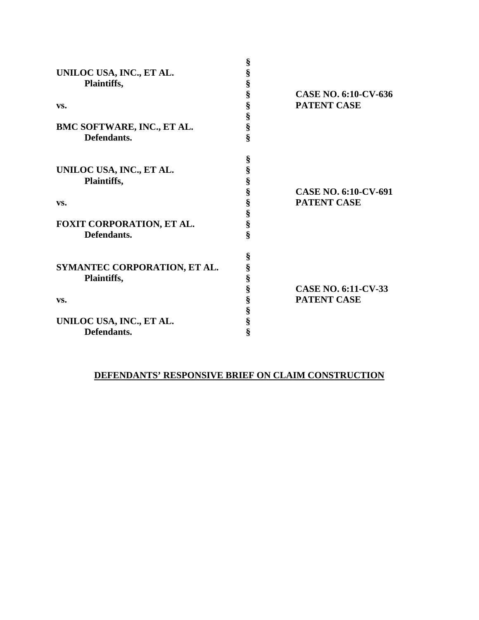| UNILOC USA, INC., ET AL.<br>Plaintiffs,<br>VS.<br>BMC SOFTWARE, INC., ET AL.<br>Defendants.   | §<br>§<br>§<br>§<br>§<br>§<br>$\frac{8}{8}$ | CASE NO. 6:10-CV-636<br><b>PATENT CASE</b>        |
|-----------------------------------------------------------------------------------------------|---------------------------------------------|---------------------------------------------------|
| UNILOC USA, INC., ET AL.<br>Plaintiffs,<br>VS.<br>FOXIT CORPORATION, ET AL.<br>Defendants.    | §<br>§<br>§<br>§<br>§<br>§<br>§<br>ş        | <b>CASE NO. 6:10-CV-691</b><br><b>PATENT CASE</b> |
| SYMANTEC CORPORATION, ET AL.<br>Plaintiffs,<br>VS.<br>UNILOC USA, INC., ET AL.<br>Defendants. | $\S$<br>§<br>§<br>§<br>§<br>§<br>§<br>ş     | <b>CASE NO. 6:11-CV-33</b><br><b>PATENT CASE</b>  |

# **DEFENDANTS' RESPONSIVE BRIEF ON CLAIM CONSTRUCTION**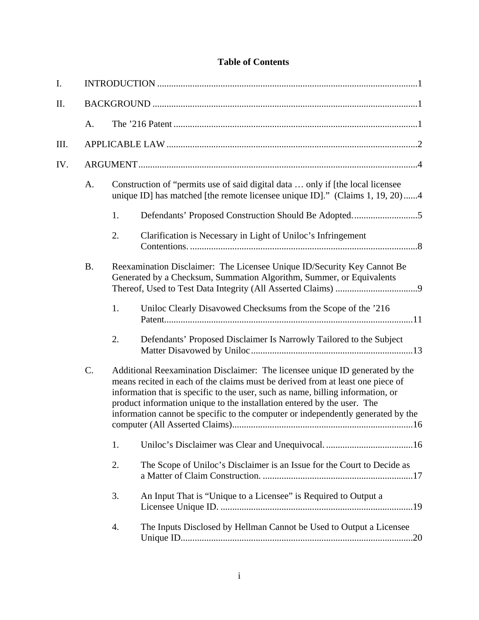## **Table of Contents**

| I.   |           |    |                                                                                                                                                                                                                                                                                                                                                                                                                  |
|------|-----------|----|------------------------------------------------------------------------------------------------------------------------------------------------------------------------------------------------------------------------------------------------------------------------------------------------------------------------------------------------------------------------------------------------------------------|
| Π.   |           |    |                                                                                                                                                                                                                                                                                                                                                                                                                  |
|      | A.        |    |                                                                                                                                                                                                                                                                                                                                                                                                                  |
| III. |           |    |                                                                                                                                                                                                                                                                                                                                                                                                                  |
| IV.  |           |    |                                                                                                                                                                                                                                                                                                                                                                                                                  |
|      | A.        |    | Construction of "permits use of said digital data  only if [the local licensee]<br>unique ID] has matched [the remote licensee unique ID]." (Claims 1, 19, 20)4                                                                                                                                                                                                                                                  |
|      |           | 1. | Defendants' Proposed Construction Should Be Adopted5                                                                                                                                                                                                                                                                                                                                                             |
|      |           | 2. | Clarification is Necessary in Light of Uniloc's Infringement                                                                                                                                                                                                                                                                                                                                                     |
|      | <b>B.</b> |    | Reexamination Disclaimer: The Licensee Unique ID/Security Key Cannot Be<br>Generated by a Checksum, Summation Algorithm, Summer, or Equivalents                                                                                                                                                                                                                                                                  |
|      |           | 1. | Uniloc Clearly Disavowed Checksums from the Scope of the '216                                                                                                                                                                                                                                                                                                                                                    |
|      |           | 2. | Defendants' Proposed Disclaimer Is Narrowly Tailored to the Subject                                                                                                                                                                                                                                                                                                                                              |
|      | C.        |    | Additional Reexamination Disclaimer: The licensee unique ID generated by the<br>means recited in each of the claims must be derived from at least one piece of<br>information that is specific to the user, such as name, billing information, or<br>product information unique to the installation entered by the user. The<br>information cannot be specific to the computer or independently generated by the |
|      |           | 1. |                                                                                                                                                                                                                                                                                                                                                                                                                  |
|      |           | 2. | The Scope of Uniloc's Disclaimer is an Issue for the Court to Decide as                                                                                                                                                                                                                                                                                                                                          |
|      |           | 3. | An Input That is "Unique to a Licensee" is Required to Output a                                                                                                                                                                                                                                                                                                                                                  |
|      |           | 4. | The Inputs Disclosed by Hellman Cannot be Used to Output a Licensee                                                                                                                                                                                                                                                                                                                                              |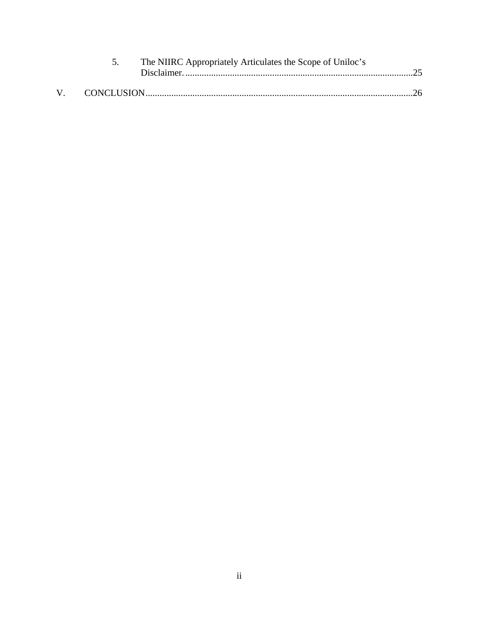|  | The NIIRC Appropriately Articulates the Scope of Uniloc's |  |
|--|-----------------------------------------------------------|--|
|  |                                                           |  |
|  |                                                           |  |
|  |                                                           |  |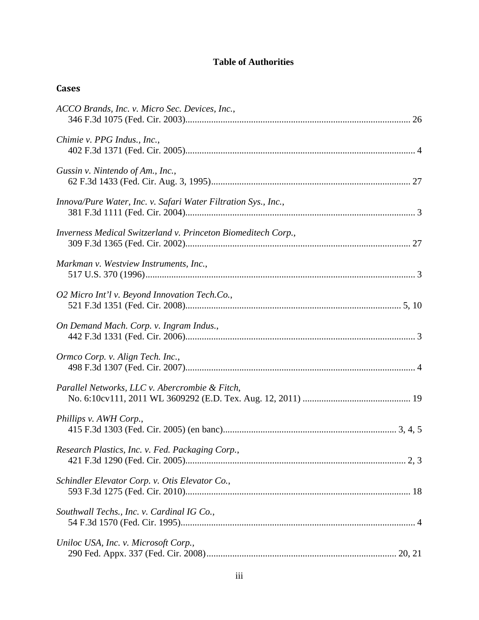## **Table of Authorities**

## **Cases**

| ACCO Brands, Inc. v. Micro Sec. Devices, Inc.,                 |
|----------------------------------------------------------------|
| Chimie v. PPG Indus., Inc.,                                    |
| Gussin v. Nintendo of Am., Inc.,                               |
| Innova/Pure Water, Inc. v. Safari Water Filtration Sys., Inc., |
| Inverness Medical Switzerland v. Princeton Biomeditech Corp.,  |
| Markman v. Westview Instruments, Inc.,                         |
| O2 Micro Int'l v. Beyond Innovation Tech.Co.,                  |
| On Demand Mach. Corp. v. Ingram Indus.,                        |
| Ormco Corp. v. Align Tech. Inc.,                               |
| Parallel Networks, LLC v. Abercrombie & Fitch,                 |
| Phillips v. AWH Corp.,                                         |
| Research Plastics, Inc. v. Fed. Packaging Corp.,               |
| Schindler Elevator Corp. v. Otis Elevator Co.,                 |
| Southwall Techs., Inc. v. Cardinal IG Co.,                     |
| Uniloc USA, Inc. v. Microsoft Corp.,                           |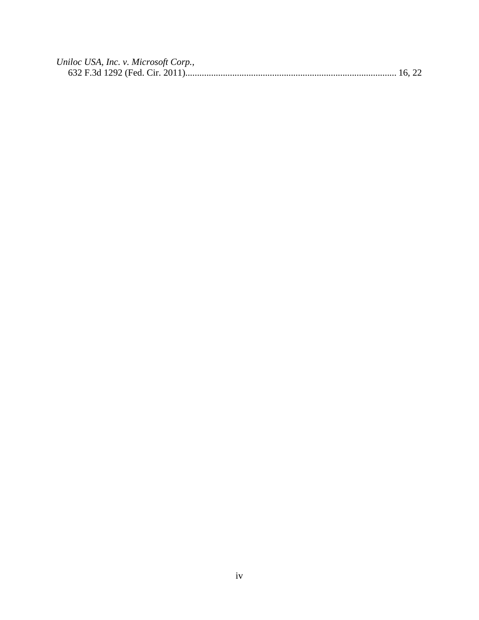| Uniloc USA, Inc. v. Microsoft Corp., |  |
|--------------------------------------|--|
|                                      |  |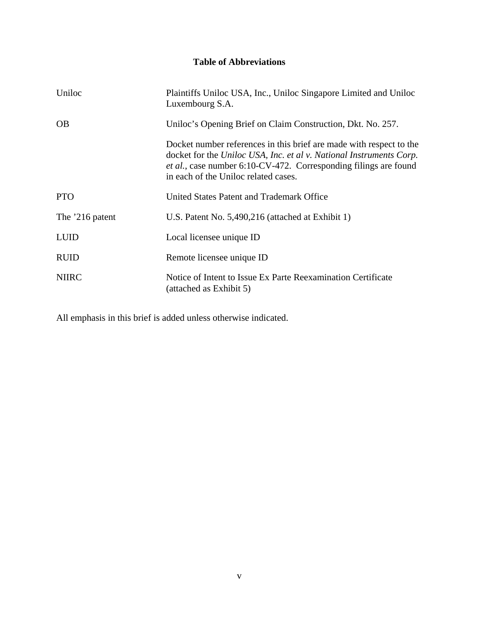## **Table of Abbreviations**

| Uniloc          | Plaintiffs Uniloc USA, Inc., Uniloc Singapore Limited and Uniloc<br>Luxembourg S.A.                                                                                                                                                                            |
|-----------------|----------------------------------------------------------------------------------------------------------------------------------------------------------------------------------------------------------------------------------------------------------------|
| <b>OB</b>       | Uniloc's Opening Brief on Claim Construction, Dkt. No. 257.                                                                                                                                                                                                    |
|                 | Docket number references in this brief are made with respect to the<br>docket for the Uniloc USA, Inc. et al v. National Instruments Corp.<br><i>et al.</i> , case number 6:10-CV-472. Corresponding filings are found<br>in each of the Uniloc related cases. |
| <b>PTO</b>      | United States Patent and Trademark Office                                                                                                                                                                                                                      |
| The '216 patent | U.S. Patent No. 5,490,216 (attached at Exhibit 1)                                                                                                                                                                                                              |
| <b>LUID</b>     | Local licensee unique ID                                                                                                                                                                                                                                       |
| <b>RUID</b>     | Remote licensee unique ID                                                                                                                                                                                                                                      |
| <b>NIIRC</b>    | Notice of Intent to Issue Ex Parte Reexamination Certificate<br>(attached as Exhibit 5)                                                                                                                                                                        |

All emphasis in this brief is added unless otherwise indicated.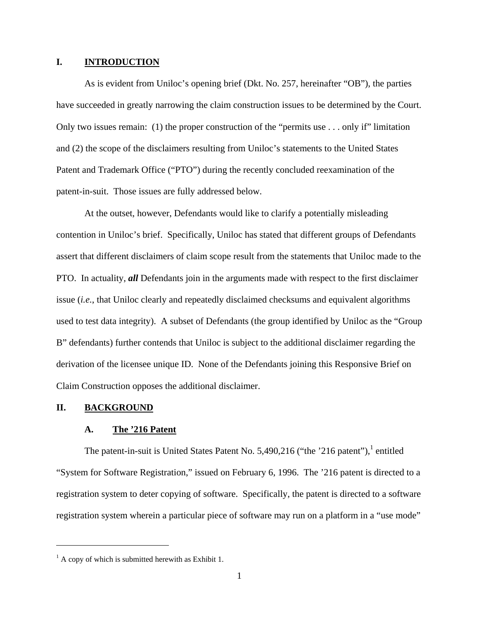#### **I. INTRODUCTION**

As is evident from Uniloc's opening brief (Dkt. No. 257, hereinafter "OB"), the parties have succeeded in greatly narrowing the claim construction issues to be determined by the Court. Only two issues remain: (1) the proper construction of the "permits use . . . only if" limitation and (2) the scope of the disclaimers resulting from Uniloc's statements to the United States Patent and Trademark Office ("PTO") during the recently concluded reexamination of the patent-in-suit. Those issues are fully addressed below.

At the outset, however, Defendants would like to clarify a potentially misleading contention in Uniloc's brief. Specifically, Uniloc has stated that different groups of Defendants assert that different disclaimers of claim scope result from the statements that Uniloc made to the PTO. In actuality, *all* Defendants join in the arguments made with respect to the first disclaimer issue (*i.e.*, that Uniloc clearly and repeatedly disclaimed checksums and equivalent algorithms used to test data integrity). A subset of Defendants (the group identified by Uniloc as the "Group B" defendants) further contends that Uniloc is subject to the additional disclaimer regarding the derivation of the licensee unique ID. None of the Defendants joining this Responsive Brief on Claim Construction opposes the additional disclaimer.

#### **II. BACKGROUND**

 $\overline{a}$ 

#### **A. The '216 Patent**

The patent-in-suit is United States Patent No. 5,490,216 ("the '216 patent"), $^1$  entitled "System for Software Registration," issued on February 6, 1996. The '216 patent is directed to a registration system to deter copying of software. Specifically, the patent is directed to a software registration system wherein a particular piece of software may run on a platform in a "use mode"

 $<sup>1</sup>$  A copy of which is submitted herewith as Exhibit 1.</sup>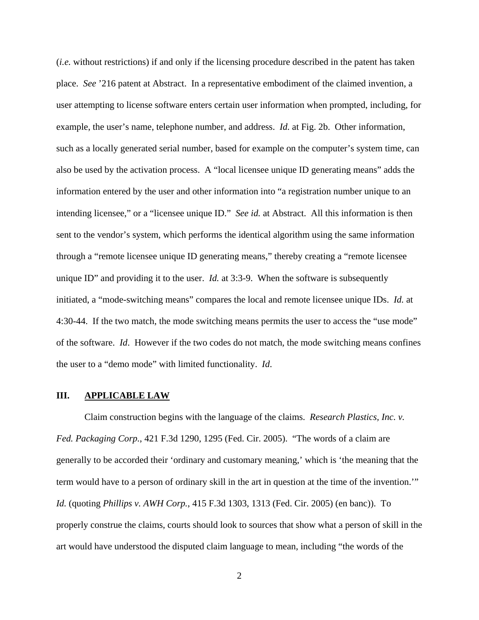(*i.e.* without restrictions) if and only if the licensing procedure described in the patent has taken place. *See* '216 patent at Abstract. In a representative embodiment of the claimed invention, a user attempting to license software enters certain user information when prompted, including, for example, the user's name, telephone number, and address. *Id.* at Fig. 2b. Other information, such as a locally generated serial number, based for example on the computer's system time, can also be used by the activation process. A "local licensee unique ID generating means" adds the information entered by the user and other information into "a registration number unique to an intending licensee," or a "licensee unique ID." *See id.* at Abstract. All this information is then sent to the vendor's system, which performs the identical algorithm using the same information through a "remote licensee unique ID generating means," thereby creating a "remote licensee unique ID" and providing it to the user. *Id.* at 3:3-9. When the software is subsequently initiated, a "mode-switching means" compares the local and remote licensee unique IDs. *Id.* at 4:30-44. If the two match, the mode switching means permits the user to access the "use mode" of the software. *Id*. However if the two codes do not match, the mode switching means confines the user to a "demo mode" with limited functionality. *Id*.

#### **III. APPLICABLE LAW**

Claim construction begins with the language of the claims. *Research Plastics, Inc. v. Fed. Packaging Corp.*, 421 F.3d 1290, 1295 (Fed. Cir. 2005). "The words of a claim are generally to be accorded their 'ordinary and customary meaning,' which is 'the meaning that the term would have to a person of ordinary skill in the art in question at the time of the invention.'" *Id.* (quoting *Phillips v. AWH Corp.*, 415 F.3d 1303, 1313 (Fed. Cir. 2005) (en banc)). To properly construe the claims, courts should look to sources that show what a person of skill in the art would have understood the disputed claim language to mean, including "the words of the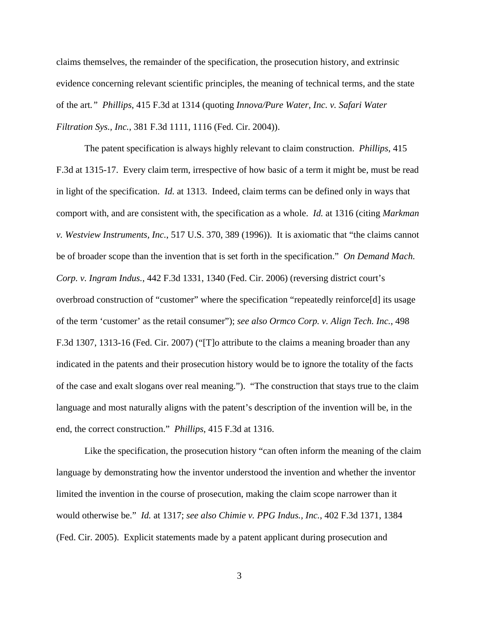claims themselves, the remainder of the specification, the prosecution history, and extrinsic evidence concerning relevant scientific principles, the meaning of technical terms, and the state of the art*." Phillips*, 415 F.3d at 1314 (quoting *Innova/Pure Water, Inc. v. Safari Water Filtration Sys., Inc.*, 381 F.3d 1111, 1116 (Fed. Cir. 2004)).

The patent specification is always highly relevant to claim construction. *Phillips*, 415 F.3d at 1315-17. Every claim term, irrespective of how basic of a term it might be, must be read in light of the specification. *Id.* at 1313. Indeed, claim terms can be defined only in ways that comport with, and are consistent with, the specification as a whole. *Id.* at 1316 (citing *Markman v. Westview Instruments, Inc.*, 517 U.S. 370, 389 (1996)). It is axiomatic that "the claims cannot be of broader scope than the invention that is set forth in the specification." *On Demand Mach. Corp. v. Ingram Indus.*, 442 F.3d 1331, 1340 (Fed. Cir. 2006) (reversing district court's overbroad construction of "customer" where the specification "repeatedly reinforce[d] its usage of the term 'customer' as the retail consumer"); *see also Ormco Corp. v. Align Tech. Inc.*, 498 F.3d 1307, 1313-16 (Fed. Cir. 2007) ("[T]o attribute to the claims a meaning broader than any indicated in the patents and their prosecution history would be to ignore the totality of the facts of the case and exalt slogans over real meaning."). "The construction that stays true to the claim language and most naturally aligns with the patent's description of the invention will be, in the end, the correct construction." *Phillips*, 415 F.3d at 1316.

Like the specification, the prosecution history "can often inform the meaning of the claim language by demonstrating how the inventor understood the invention and whether the inventor limited the invention in the course of prosecution, making the claim scope narrower than it would otherwise be." *Id.* at 1317; *see also Chimie v. PPG Indus., Inc.*, 402 F.3d 1371, 1384 (Fed. Cir. 2005). Explicit statements made by a patent applicant during prosecution and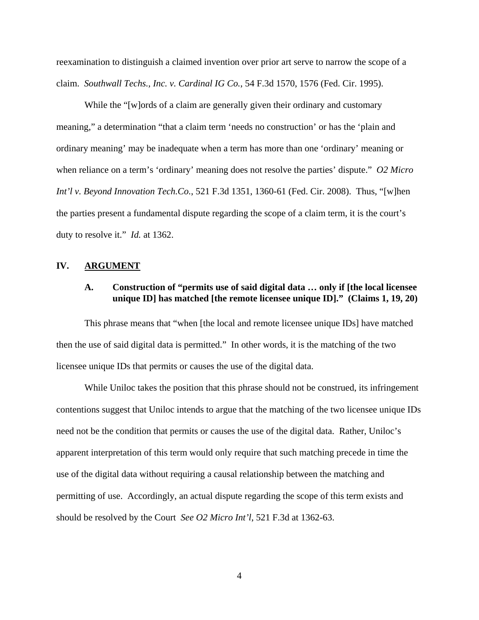reexamination to distinguish a claimed invention over prior art serve to narrow the scope of a claim. *Southwall Techs., Inc. v. Cardinal IG Co.*, 54 F.3d 1570, 1576 (Fed. Cir. 1995).

While the "[w]ords of a claim are generally given their ordinary and customary meaning," a determination "that a claim term 'needs no construction' or has the 'plain and ordinary meaning' may be inadequate when a term has more than one 'ordinary' meaning or when reliance on a term's 'ordinary' meaning does not resolve the parties' dispute." *O2 Micro Int'l v. Beyond Innovation Tech.Co.*, 521 F.3d 1351, 1360-61 (Fed. Cir. 2008). Thus, "[w]hen the parties present a fundamental dispute regarding the scope of a claim term, it is the court's duty to resolve it." *Id.* at 1362.

#### **IV. ARGUMENT**

### **A. Construction of "permits use of said digital data … only if [the local licensee unique ID] has matched [the remote licensee unique ID]." (Claims 1, 19, 20)**

This phrase means that "when [the local and remote licensee unique IDs] have matched then the use of said digital data is permitted." In other words, it is the matching of the two licensee unique IDs that permits or causes the use of the digital data.

While Uniloc takes the position that this phrase should not be construed, its infringement contentions suggest that Uniloc intends to argue that the matching of the two licensee unique IDs need not be the condition that permits or causes the use of the digital data. Rather, Uniloc's apparent interpretation of this term would only require that such matching precede in time the use of the digital data without requiring a causal relationship between the matching and permitting of use. Accordingly, an actual dispute regarding the scope of this term exists and should be resolved by the Court *See O2 Micro Int'l*, 521 F.3d at 1362-63.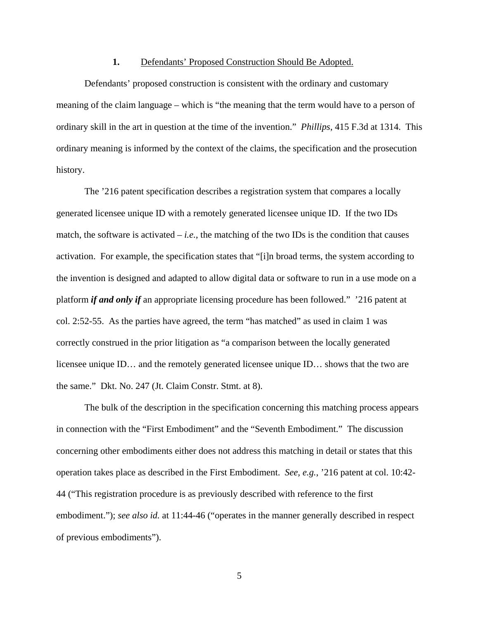#### **1.** Defendants' Proposed Construction Should Be Adopted.

Defendants' proposed construction is consistent with the ordinary and customary meaning of the claim language – which is "the meaning that the term would have to a person of ordinary skill in the art in question at the time of the invention." *Phillips*, 415 F.3d at 1314. This ordinary meaning is informed by the context of the claims, the specification and the prosecution history.

The '216 patent specification describes a registration system that compares a locally generated licensee unique ID with a remotely generated licensee unique ID. If the two IDs match, the software is activated  $-i.e.,$  the matching of the two IDs is the condition that causes activation. For example, the specification states that "[i]n broad terms, the system according to the invention is designed and adapted to allow digital data or software to run in a use mode on a platform *if and only if* an appropriate licensing procedure has been followed." '216 patent at col. 2:52-55. As the parties have agreed, the term "has matched" as used in claim 1 was correctly construed in the prior litigation as "a comparison between the locally generated licensee unique ID… and the remotely generated licensee unique ID… shows that the two are the same." Dkt. No. 247 (Jt. Claim Constr. Stmt. at 8).

The bulk of the description in the specification concerning this matching process appears in connection with the "First Embodiment" and the "Seventh Embodiment." The discussion concerning other embodiments either does not address this matching in detail or states that this operation takes place as described in the First Embodiment. *See, e.g.*, '216 patent at col. 10:42- 44 ("This registration procedure is as previously described with reference to the first embodiment."); *see also id.* at 11:44-46 ("operates in the manner generally described in respect of previous embodiments").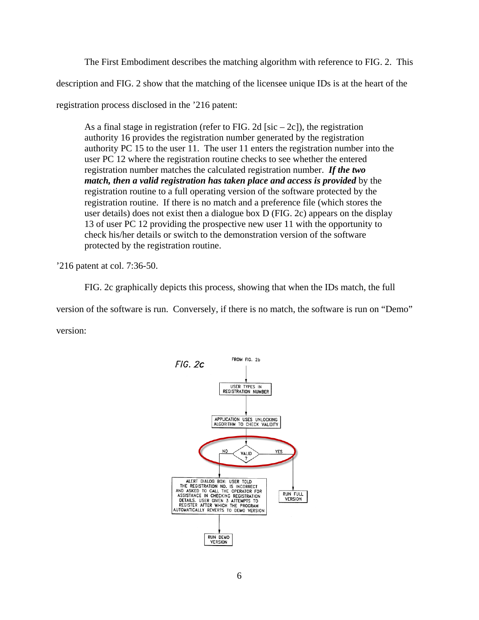The First Embodiment describes the matching algorithm with reference to FIG. 2. This

description and FIG. 2 show that the matching of the licensee unique IDs is at the heart of the

registration process disclosed in the '216 patent:

As a final stage in registration (refer to FIG. 2d [sic – 2c]), the registration authority 16 provides the registration number generated by the registration authority PC 15 to the user 11. The user 11 enters the registration number into the user PC 12 where the registration routine checks to see whether the entered registration number matches the calculated registration number. *If the two match, then a valid registration has taken place and access is provided* by the registration routine to a full operating version of the software protected by the registration routine. If there is no match and a preference file (which stores the user details) does not exist then a dialogue box D (FIG. 2c) appears on the display 13 of user PC 12 providing the prospective new user 11 with the opportunity to check his/her details or switch to the demonstration version of the software protected by the registration routine.

'216 patent at col. 7:36-50.

FIG. 2c graphically depicts this process, showing that when the IDs match, the full version of the software is run. Conversely, if there is no match, the software is run on "Demo" version:

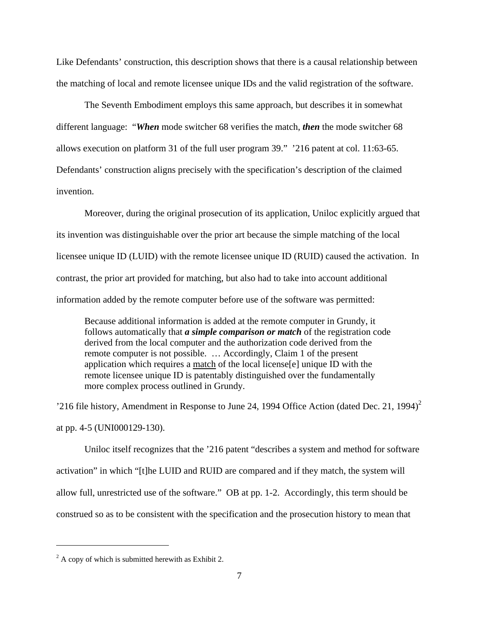Like Defendants' construction, this description shows that there is a causal relationship between the matching of local and remote licensee unique IDs and the valid registration of the software.

The Seventh Embodiment employs this same approach, but describes it in somewhat different language: "*When* mode switcher 68 verifies the match, *then* the mode switcher 68 allows execution on platform 31 of the full user program 39." '216 patent at col. 11:63-65. Defendants' construction aligns precisely with the specification's description of the claimed invention.

Moreover, during the original prosecution of its application, Uniloc explicitly argued that its invention was distinguishable over the prior art because the simple matching of the local licensee unique ID (LUID) with the remote licensee unique ID (RUID) caused the activation. In contrast, the prior art provided for matching, but also had to take into account additional information added by the remote computer before use of the software was permitted:

Because additional information is added at the remote computer in Grundy, it follows automatically that *a simple comparison or match* of the registration code derived from the local computer and the authorization code derived from the remote computer is not possible. … Accordingly, Claim 1 of the present application which requires a match of the local license[e] unique ID with the remote licensee unique ID is patentably distinguished over the fundamentally more complex process outlined in Grundy.

'216 file history, Amendment in Response to June 24, 1994 Office Action (dated Dec. 21, 1994)<sup>2</sup> at pp. 4-5 (UNI000129-130).

Uniloc itself recognizes that the '216 patent "describes a system and method for software activation" in which "[t]he LUID and RUID are compared and if they match, the system will allow full, unrestricted use of the software." OB at pp. 1-2. Accordingly, this term should be construed so as to be consistent with the specification and the prosecution history to mean that

<u>.</u>

 $2^2$  A copy of which is submitted herewith as Exhibit 2.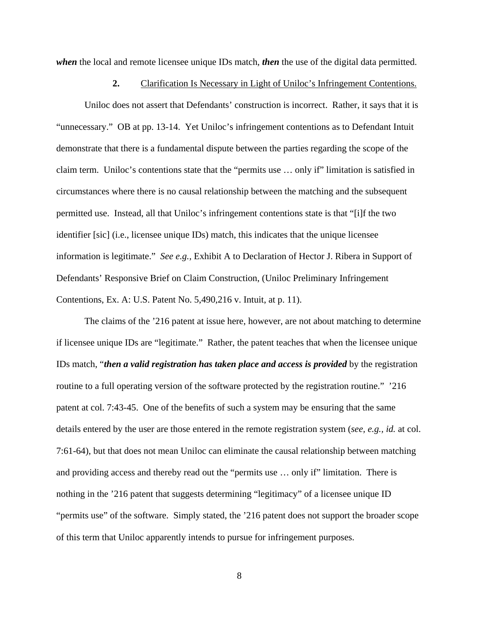*when* the local and remote licensee unique IDs match, *then* the use of the digital data permitted.

#### **2.** Clarification Is Necessary in Light of Uniloc's Infringement Contentions.

Uniloc does not assert that Defendants' construction is incorrect. Rather, it says that it is "unnecessary." OB at pp. 13-14. Yet Uniloc's infringement contentions as to Defendant Intuit demonstrate that there is a fundamental dispute between the parties regarding the scope of the claim term. Uniloc's contentions state that the "permits use … only if" limitation is satisfied in circumstances where there is no causal relationship between the matching and the subsequent permitted use. Instead, all that Uniloc's infringement contentions state is that "[i]f the two identifier [sic] (i.e., licensee unique IDs) match, this indicates that the unique licensee information is legitimate." *See e.g.,* Exhibit A to Declaration of Hector J. Ribera in Support of Defendants' Responsive Brief on Claim Construction, (Uniloc Preliminary Infringement Contentions, Ex. A: U.S. Patent No. 5,490,216 v. Intuit, at p. 11).

The claims of the '216 patent at issue here, however, are not about matching to determine if licensee unique IDs are "legitimate." Rather, the patent teaches that when the licensee unique IDs match, "*then a valid registration has taken place and access is provided* by the registration routine to a full operating version of the software protected by the registration routine." '216 patent at col. 7:43-45. One of the benefits of such a system may be ensuring that the same details entered by the user are those entered in the remote registration system (*see, e.g., id.* at col. 7:61-64), but that does not mean Uniloc can eliminate the causal relationship between matching and providing access and thereby read out the "permits use … only if" limitation. There is nothing in the '216 patent that suggests determining "legitimacy" of a licensee unique ID "permits use" of the software. Simply stated, the '216 patent does not support the broader scope of this term that Uniloc apparently intends to pursue for infringement purposes.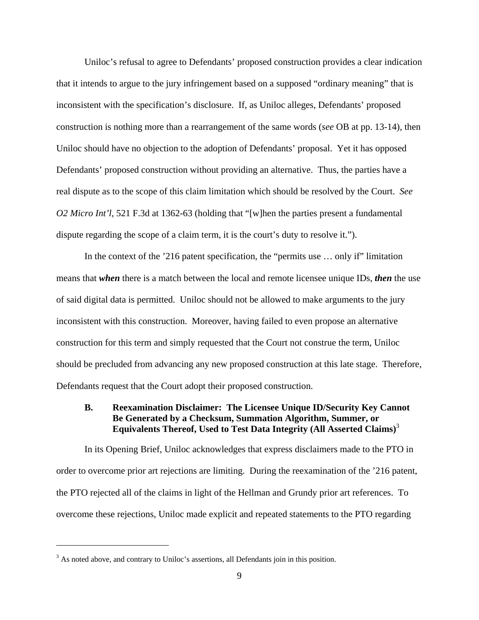Uniloc's refusal to agree to Defendants' proposed construction provides a clear indication that it intends to argue to the jury infringement based on a supposed "ordinary meaning" that is inconsistent with the specification's disclosure. If, as Uniloc alleges, Defendants' proposed construction is nothing more than a rearrangement of the same words (*see* OB at pp. 13-14), then Uniloc should have no objection to the adoption of Defendants' proposal. Yet it has opposed Defendants' proposed construction without providing an alternative. Thus, the parties have a real dispute as to the scope of this claim limitation which should be resolved by the Court. *See O2 Micro Int'l*, 521 F.3d at 1362-63 (holding that "[w]hen the parties present a fundamental dispute regarding the scope of a claim term, it is the court's duty to resolve it.").

In the context of the '216 patent specification, the "permits use ... only if" limitation means that *when* there is a match between the local and remote licensee unique IDs, *then* the use of said digital data is permitted. Uniloc should not be allowed to make arguments to the jury inconsistent with this construction. Moreover, having failed to even propose an alternative construction for this term and simply requested that the Court not construe the term, Uniloc should be precluded from advancing any new proposed construction at this late stage. Therefore, Defendants request that the Court adopt their proposed construction.

### **B. Reexamination Disclaimer: The Licensee Unique ID/Security Key Cannot Be Generated by a Checksum, Summation Algorithm, Summer, or Equivalents Thereof, Used to Test Data Integrity (All Asserted Claims)**<sup>3</sup>

In its Opening Brief, Uniloc acknowledges that express disclaimers made to the PTO in order to overcome prior art rejections are limiting. During the reexamination of the '216 patent, the PTO rejected all of the claims in light of the Hellman and Grundy prior art references. To overcome these rejections, Uniloc made explicit and repeated statements to the PTO regarding

<u>.</u>

 $3$  As noted above, and contrary to Uniloc's assertions, all Defendants join in this position.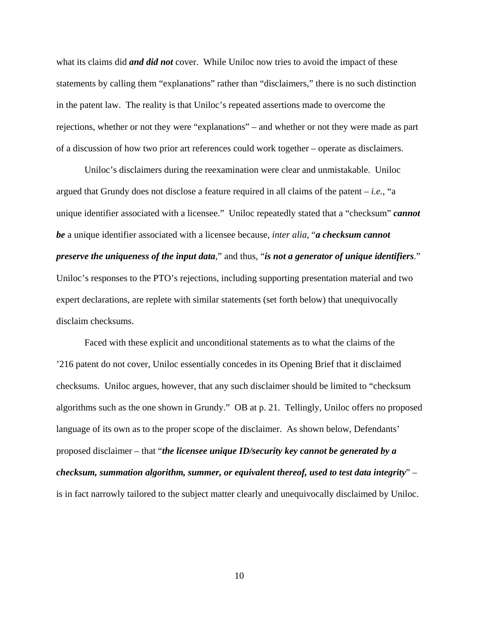what its claims did *and did not* cover. While Uniloc now tries to avoid the impact of these statements by calling them "explanations" rather than "disclaimers," there is no such distinction in the patent law. The reality is that Uniloc's repeated assertions made to overcome the rejections, whether or not they were "explanations" – and whether or not they were made as part of a discussion of how two prior art references could work together – operate as disclaimers.

Uniloc's disclaimers during the reexamination were clear and unmistakable. Uniloc argued that Grundy does not disclose a feature required in all claims of the patent – *i.e.*, "a unique identifier associated with a licensee." Uniloc repeatedly stated that a "checksum" *cannot be* a unique identifier associated with a licensee because, *inter alia*, "*a checksum cannot preserve the uniqueness of the input data*," and thus, "*is not a generator of unique identifiers*." Uniloc's responses to the PTO's rejections, including supporting presentation material and two expert declarations, are replete with similar statements (set forth below) that unequivocally disclaim checksums.

Faced with these explicit and unconditional statements as to what the claims of the '216 patent do not cover, Uniloc essentially concedes in its Opening Brief that it disclaimed checksums. Uniloc argues, however, that any such disclaimer should be limited to "checksum algorithms such as the one shown in Grundy." OB at p. 21. Tellingly, Uniloc offers no proposed language of its own as to the proper scope of the disclaimer. As shown below, Defendants' proposed disclaimer – that "*the licensee unique ID/security key cannot be generated by a checksum, summation algorithm, summer, or equivalent thereof, used to test data integrity*" – is in fact narrowly tailored to the subject matter clearly and unequivocally disclaimed by Uniloc.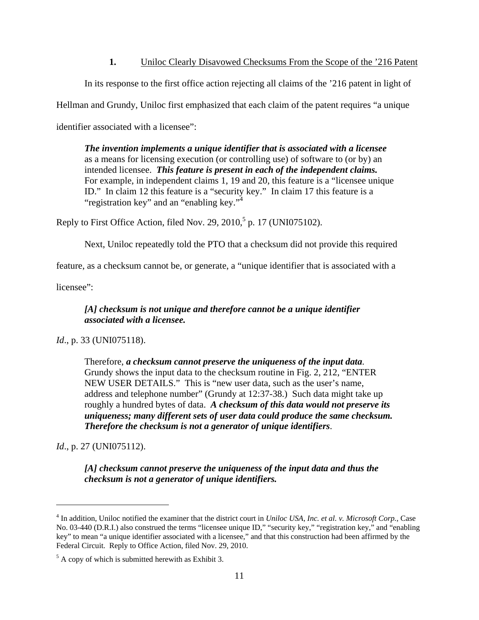### **1.** Uniloc Clearly Disavowed Checksums From the Scope of the '216 Patent

In its response to the first office action rejecting all claims of the '216 patent in light of

Hellman and Grundy, Uniloc first emphasized that each claim of the patent requires "a unique

identifier associated with a licensee":

*The invention implements a unique identifier that is associated with a licensee* as a means for licensing execution (or controlling use) of software to (or by) an intended licensee. *This feature is present in each of the independent claims.* For example, in independent claims 1, 19 and 20, this feature is a "licensee unique ID." In claim 12 this feature is a "security key." In claim 17 this feature is a "registration key" and an "enabling key."<sup>4</sup>

Reply to First Office Action, filed Nov. 29, 2010,<sup>5</sup> p. 17 (UNI075102).

Next, Uniloc repeatedly told the PTO that a checksum did not provide this required

feature, as a checksum cannot be, or generate, a "unique identifier that is associated with a

licensee":

### *[A] checksum is not unique and therefore cannot be a unique identifier associated with a licensee.*

### *Id.*, p. 33 (UNI075118).

Therefore, *a checksum cannot preserve the uniqueness of the input data*. Grundy shows the input data to the checksum routine in Fig. 2, 212, "ENTER NEW USER DETAILS." This is "new user data, such as the user's name, address and telephone number" (Grundy at 12:37-38.) Such data might take up roughly a hundred bytes of data. *A checksum of this data would not preserve its uniqueness; many different sets of user data could produce the same checksum. Therefore the checksum is not a generator of unique identifiers*.

*Id.*, p. 27 (UNI075112).

 $\overline{a}$ 

*[A] checksum cannot preserve the uniqueness of the input data and thus the checksum is not a generator of unique identifiers.* 

<sup>&</sup>lt;sup>4</sup> In addition, Uniloc notified the examiner that the district court in *Uniloc USA, Inc. et al. v. Microsoft Corp.*, Case No. 03-440 (D.R.I.) also construed the terms "licensee unique ID," "security key," "registration key," and "enabling key" to mean "a unique identifier associated with a licensee," and that this construction had been affirmed by the Federal Circuit. Reply to Office Action, filed Nov. 29, 2010.

 $<sup>5</sup>$  A copy of which is submitted herewith as Exhibit 3.</sup>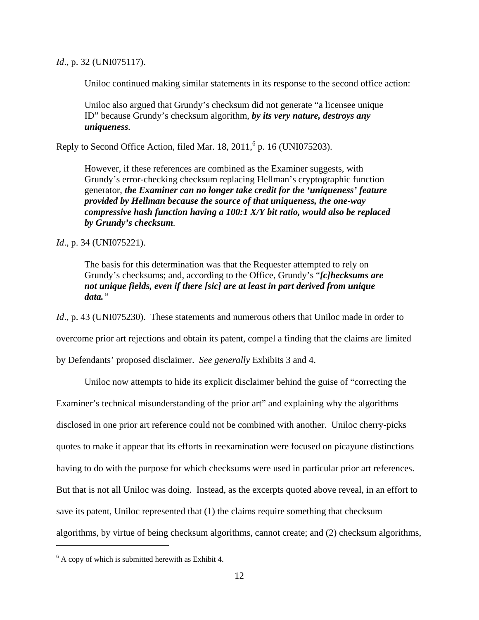*Id.*, p. 32 (UNI075117).

Uniloc continued making similar statements in its response to the second office action:

Uniloc also argued that Grundy's checksum did not generate "a licensee unique ID" because Grundy's checksum algorithm, *by its very nature, destroys any uniqueness.*

Reply to Second Office Action, filed Mar.  $18, 2011$ ,  $6$  p.  $16$  (UNI075203).

However, if these references are combined as the Examiner suggests, with Grundy's error-checking checksum replacing Hellman's cryptographic function generator, *the Examiner can no longer take credit for the 'uniqueness' feature provided by Hellman because the source of that uniqueness, the one-way compressive hash function having a 100:1 X/Y bit ratio, would also be replaced by Grundy's checksum.*

*Id.*, p. 34 (UNI075221).

The basis for this determination was that the Requester attempted to rely on Grundy's checksums; and, according to the Office, Grundy's "*[c]hecksums are not unique fields, even if there [sic] are at least in part derived from unique data."*

*Id.*, p. 43 (UNI075230). These statements and numerous others that Uniloc made in order to

overcome prior art rejections and obtain its patent, compel a finding that the claims are limited

by Defendants' proposed disclaimer. *See generally* Exhibits 3 and 4.

Uniloc now attempts to hide its explicit disclaimer behind the guise of "correcting the

Examiner's technical misunderstanding of the prior art" and explaining why the algorithms

disclosed in one prior art reference could not be combined with another. Uniloc cherry-picks

quotes to make it appear that its efforts in reexamination were focused on picayune distinctions

having to do with the purpose for which checksums were used in particular prior art references.

But that is not all Uniloc was doing. Instead, as the excerpts quoted above reveal, in an effort to

save its patent, Uniloc represented that (1) the claims require something that checksum

algorithms, by virtue of being checksum algorithms, cannot create; and (2) checksum algorithms,

 $\overline{a}$ 

 $6$  A copy of which is submitted herewith as Exhibit 4.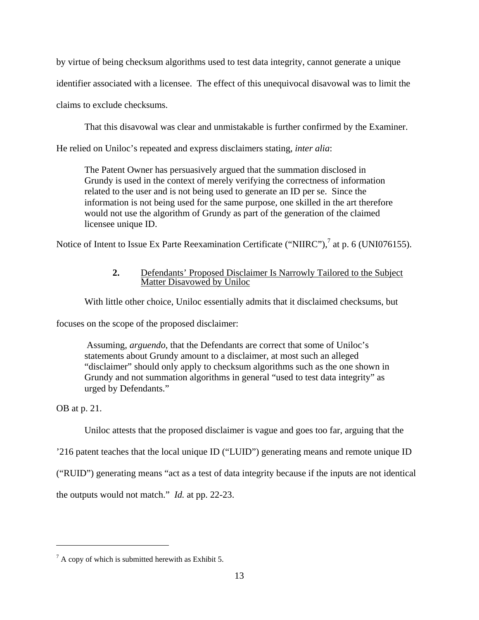by virtue of being checksum algorithms used to test data integrity, cannot generate a unique

identifier associated with a licensee. The effect of this unequivocal disavowal was to limit the

claims to exclude checksums.

That this disavowal was clear and unmistakable is further confirmed by the Examiner.

He relied on Uniloc's repeated and express disclaimers stating, *inter alia*:

The Patent Owner has persuasively argued that the summation disclosed in Grundy is used in the context of merely verifying the correctness of information related to the user and is not being used to generate an ID per se. Since the information is not being used for the same purpose, one skilled in the art therefore would not use the algorithm of Grundy as part of the generation of the claimed licensee unique ID.

Notice of Intent to Issue Ex Parte Reexamination Certificate ("NIIRC"),<sup>7</sup> at p. 6 (UNI076155).

### **2.** Defendants' Proposed Disclaimer Is Narrowly Tailored to the Subject Matter Disavowed by Uniloc

With little other choice, Uniloc essentially admits that it disclaimed checksums, but

focuses on the scope of the proposed disclaimer:

 Assuming, *arguendo*, that the Defendants are correct that some of Uniloc's statements about Grundy amount to a disclaimer, at most such an alleged "disclaimer" should only apply to checksum algorithms such as the one shown in Grundy and not summation algorithms in general "used to test data integrity" as urged by Defendants."

OB at p. 21.

<u>.</u>

Uniloc attests that the proposed disclaimer is vague and goes too far, arguing that the

'216 patent teaches that the local unique ID ("LUID") generating means and remote unique ID

("RUID") generating means "act as a test of data integrity because if the inputs are not identical

the outputs would not match." *Id.* at pp. 22-23.

 $7 A$  copy of which is submitted herewith as Exhibit 5.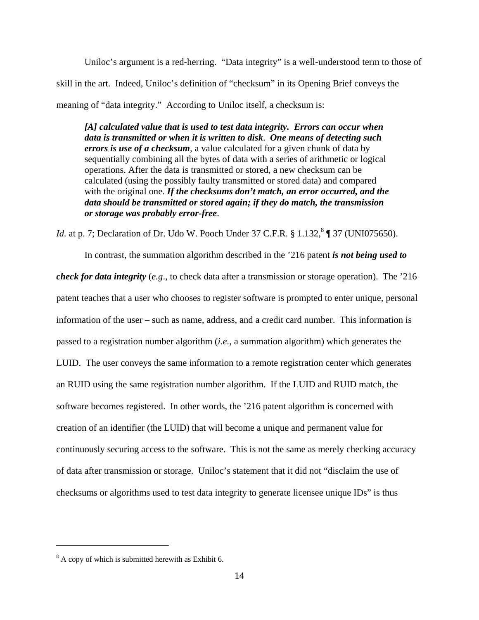Uniloc's argument is a red-herring. "Data integrity" is a well-understood term to those of skill in the art. Indeed, Uniloc's definition of "checksum" in its Opening Brief conveys the meaning of "data integrity." According to Uniloc itself, a checksum is:

*[A] calculated value that is used to test data integrity. Errors can occur when data is transmitted or when it is written to disk*. *One means of detecting such errors is use of a checksum*, a value calculated for a given chunk of data by sequentially combining all the bytes of data with a series of arithmetic or logical operations. After the data is transmitted or stored, a new checksum can be calculated (using the possibly faulty transmitted or stored data) and compared with the original one. *If the checksums don't match, an error occurred, and the data should be transmitted or stored again; if they do match, the transmission or storage was probably error-free*.

*Id.* at p. 7; Declaration of Dr. Udo W. Pooch Under 37 C.F.R. § 1.132,<sup>8</sup> ¶ 37 (UNI075650).

In contrast, the summation algorithm described in the '216 patent *is not being used to check for data integrity* (*e.g*., to check data after a transmission or storage operation). The '216 patent teaches that a user who chooses to register software is prompted to enter unique, personal information of the user – such as name, address, and a credit card number. This information is passed to a registration number algorithm (*i.e.*, a summation algorithm) which generates the LUID. The user conveys the same information to a remote registration center which generates an RUID using the same registration number algorithm. If the LUID and RUID match, the software becomes registered. In other words, the '216 patent algorithm is concerned with creation of an identifier (the LUID) that will become a unique and permanent value for continuously securing access to the software. This is not the same as merely checking accuracy of data after transmission or storage. Uniloc's statement that it did not "disclaim the use of checksums or algorithms used to test data integrity to generate licensee unique IDs" is thus

 $\overline{a}$ 

 $8<sup>8</sup>$  A copy of which is submitted herewith as Exhibit 6.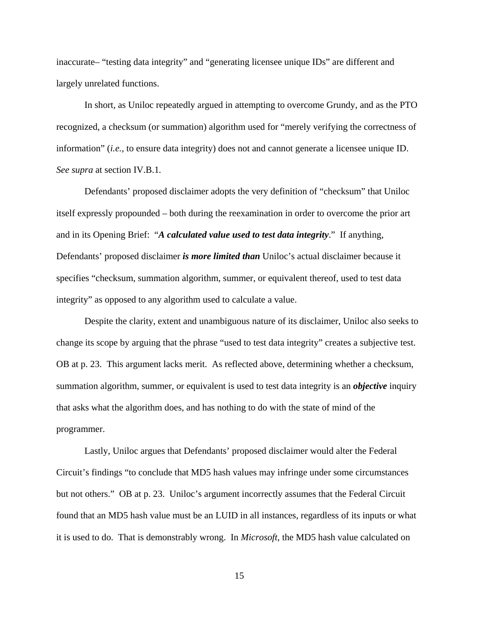inaccurate– "testing data integrity" and "generating licensee unique IDs" are different and largely unrelated functions.

In short, as Uniloc repeatedly argued in attempting to overcome Grundy, and as the PTO recognized, a checksum (or summation) algorithm used for "merely verifying the correctness of information" (*i.e.*, to ensure data integrity) does not and cannot generate a licensee unique ID. *See supra* at section IV.B.1*.*

Defendants' proposed disclaimer adopts the very definition of "checksum" that Uniloc itself expressly propounded – both during the reexamination in order to overcome the prior art and in its Opening Brief: "*A calculated value used to test data integrity*." If anything, Defendants' proposed disclaimer *is more limited than* Uniloc's actual disclaimer because it specifies "checksum, summation algorithm, summer, or equivalent thereof, used to test data integrity" as opposed to any algorithm used to calculate a value.

Despite the clarity, extent and unambiguous nature of its disclaimer, Uniloc also seeks to change its scope by arguing that the phrase "used to test data integrity" creates a subjective test. OB at p. 23. This argument lacks merit. As reflected above, determining whether a checksum, summation algorithm, summer, or equivalent is used to test data integrity is an *objective* inquiry that asks what the algorithm does, and has nothing to do with the state of mind of the programmer.

Lastly, Uniloc argues that Defendants' proposed disclaimer would alter the Federal Circuit's findings "to conclude that MD5 hash values may infringe under some circumstances but not others." OB at p. 23. Uniloc's argument incorrectly assumes that the Federal Circuit found that an MD5 hash value must be an LUID in all instances, regardless of its inputs or what it is used to do. That is demonstrably wrong. In *Microsoft*, the MD5 hash value calculated on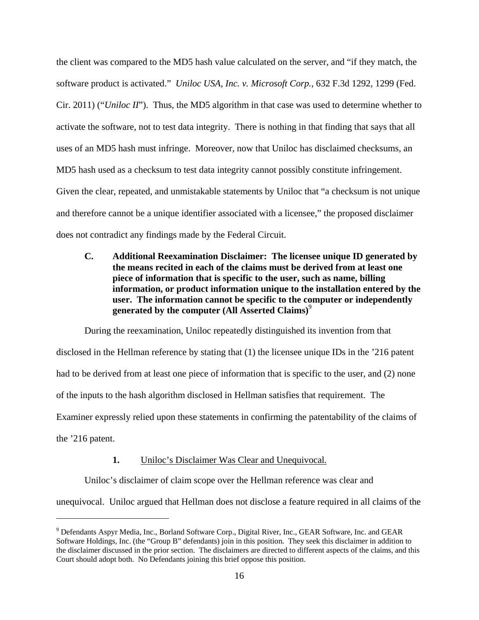the client was compared to the MD5 hash value calculated on the server, and "if they match, the software product is activated." *Uniloc USA, Inc. v. Microsoft Corp.*, 632 F.3d 1292, 1299 (Fed. Cir. 2011) ("*Uniloc II*"). Thus, the MD5 algorithm in that case was used to determine whether to activate the software, not to test data integrity. There is nothing in that finding that says that all uses of an MD5 hash must infringe. Moreover, now that Uniloc has disclaimed checksums, an MD5 hash used as a checksum to test data integrity cannot possibly constitute infringement. Given the clear, repeated, and unmistakable statements by Uniloc that "a checksum is not unique and therefore cannot be a unique identifier associated with a licensee," the proposed disclaimer does not contradict any findings made by the Federal Circuit.

**C. Additional Reexamination Disclaimer: The licensee unique ID generated by the means recited in each of the claims must be derived from at least one piece of information that is specific to the user, such as name, billing information, or product information unique to the installation entered by the user. The information cannot be specific to the computer or independently generated by the computer (All Asserted Claims)**<sup>9</sup>

During the reexamination, Uniloc repeatedly distinguished its invention from that disclosed in the Hellman reference by stating that (1) the licensee unique IDs in the '216 patent had to be derived from at least one piece of information that is specific to the user, and (2) none of the inputs to the hash algorithm disclosed in Hellman satisfies that requirement. The Examiner expressly relied upon these statements in confirming the patentability of the claims of the '216 patent.

### **1.** Uniloc's Disclaimer Was Clear and Unequivocal.

 $\overline{a}$ 

Uniloc's disclaimer of claim scope over the Hellman reference was clear and

unequivocal. Uniloc argued that Hellman does not disclose a feature required in all claims of the

<sup>&</sup>lt;sup>9</sup> Defendants Aspyr Media, Inc., Borland Software Corp., Digital River, Inc., GEAR Software, Inc. and GEAR Software Holdings, Inc. (the "Group B" defendants) join in this position. They seek this disclaimer in addition to the disclaimer discussed in the prior section. The disclaimers are directed to different aspects of the claims, and this Court should adopt both. No Defendants joining this brief oppose this position.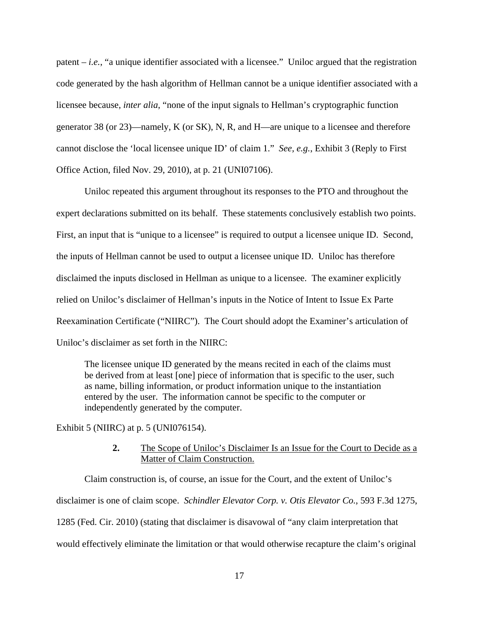patent – *i.e.*, "a unique identifier associated with a licensee." Uniloc argued that the registration code generated by the hash algorithm of Hellman cannot be a unique identifier associated with a licensee because, *inter alia*, "none of the input signals to Hellman's cryptographic function generator 38 (or 23)—namely, K (or SK), N, R, and H—are unique to a licensee and therefore cannot disclose the 'local licensee unique ID' of claim 1." *See, e.g.*, Exhibit 3 (Reply to First Office Action, filed Nov. 29, 2010), at p. 21 (UNI07106).

Uniloc repeated this argument throughout its responses to the PTO and throughout the expert declarations submitted on its behalf. These statements conclusively establish two points. First, an input that is "unique to a licensee" is required to output a licensee unique ID. Second, the inputs of Hellman cannot be used to output a licensee unique ID. Uniloc has therefore disclaimed the inputs disclosed in Hellman as unique to a licensee. The examiner explicitly relied on Uniloc's disclaimer of Hellman's inputs in the Notice of Intent to Issue Ex Parte Reexamination Certificate ("NIIRC"). The Court should adopt the Examiner's articulation of Uniloc's disclaimer as set forth in the NIIRC:

The licensee unique ID generated by the means recited in each of the claims must be derived from at least [one] piece of information that is specific to the user, such as name, billing information, or product information unique to the instantiation entered by the user. The information cannot be specific to the computer or independently generated by the computer.

Exhibit 5 (NIIRC) at p. 5 (UNI076154).

**2.** The Scope of Uniloc's Disclaimer Is an Issue for the Court to Decide as a Matter of Claim Construction.

Claim construction is, of course, an issue for the Court, and the extent of Uniloc's disclaimer is one of claim scope. *Schindler Elevator Corp. v. Otis Elevator Co.*, 593 F.3d 1275, 1285 (Fed. Cir. 2010) (stating that disclaimer is disavowal of "any claim interpretation that would effectively eliminate the limitation or that would otherwise recapture the claim's original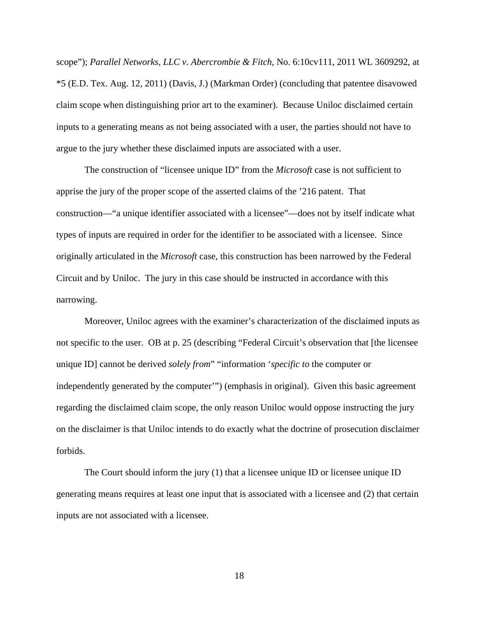scope"); *Parallel Networks, LLC v. Abercrombie & Fitch*, No. 6:10cv111, 2011 WL 3609292, at \*5 (E.D. Tex. Aug. 12, 2011) (Davis, J.) (Markman Order) (concluding that patentee disavowed claim scope when distinguishing prior art to the examiner). Because Uniloc disclaimed certain inputs to a generating means as not being associated with a user, the parties should not have to argue to the jury whether these disclaimed inputs are associated with a user.

The construction of "licensee unique ID" from the *Microsoft* case is not sufficient to apprise the jury of the proper scope of the asserted claims of the '216 patent. That construction—"a unique identifier associated with a licensee"—does not by itself indicate what types of inputs are required in order for the identifier to be associated with a licensee. Since originally articulated in the *Microsoft* case, this construction has been narrowed by the Federal Circuit and by Uniloc. The jury in this case should be instructed in accordance with this narrowing.

Moreover, Uniloc agrees with the examiner's characterization of the disclaimed inputs as not specific to the user. OB at p. 25 (describing "Federal Circuit's observation that [the licensee unique ID] cannot be derived *solely from*" "information '*specific to* the computer or independently generated by the computer'") (emphasis in original). Given this basic agreement regarding the disclaimed claim scope, the only reason Uniloc would oppose instructing the jury on the disclaimer is that Uniloc intends to do exactly what the doctrine of prosecution disclaimer forbids.

The Court should inform the jury (1) that a licensee unique ID or licensee unique ID generating means requires at least one input that is associated with a licensee and (2) that certain inputs are not associated with a licensee.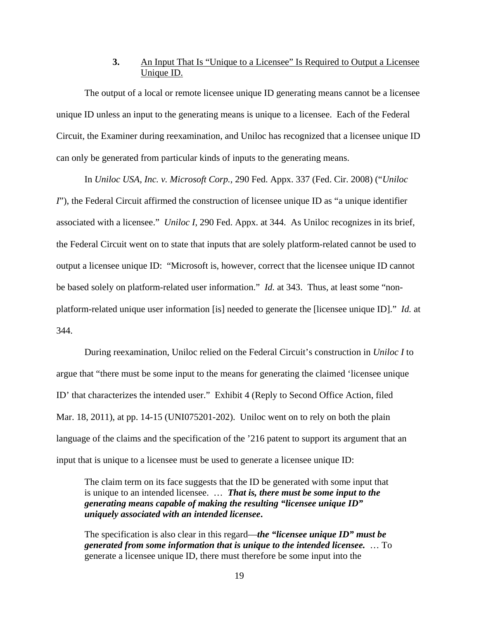### **3.** An Input That Is "Unique to a Licensee" Is Required to Output a Licensee Unique ID.

The output of a local or remote licensee unique ID generating means cannot be a licensee unique ID unless an input to the generating means is unique to a licensee. Each of the Federal Circuit, the Examiner during reexamination, and Uniloc has recognized that a licensee unique ID can only be generated from particular kinds of inputs to the generating means.

In *Uniloc USA, Inc. v. Microsoft Corp.,* 290 Fed. Appx. 337 (Fed. Cir. 2008) ("*Uniloc I*"), the Federal Circuit affirmed the construction of licensee unique ID as "a unique identifier associated with a licensee." *Uniloc I*, 290 Fed. Appx. at 344. As Uniloc recognizes in its brief, the Federal Circuit went on to state that inputs that are solely platform-related cannot be used to output a licensee unique ID: "Microsoft is, however, correct that the licensee unique ID cannot be based solely on platform-related user information." *Id.* at 343. Thus, at least some "nonplatform-related unique user information [is] needed to generate the [licensee unique ID]." *Id.* at 344.

During reexamination, Uniloc relied on the Federal Circuit's construction in *Uniloc I* to argue that "there must be some input to the means for generating the claimed 'licensee unique ID' that characterizes the intended user." Exhibit 4 (Reply to Second Office Action, filed Mar. 18, 2011), at pp. 14-15 (UNI075201-202). Uniloc went on to rely on both the plain language of the claims and the specification of the '216 patent to support its argument that an input that is unique to a licensee must be used to generate a licensee unique ID:

The claim term on its face suggests that the ID be generated with some input that is unique to an intended licensee. … *That is, there must be some input to the generating means capable of making the resulting "licensee unique ID" uniquely associated with an intended licensee***.**

The specification is also clear in this regard—*the "licensee unique ID" must be generated from some information that is unique to the intended licensee.* … To generate a licensee unique ID, there must therefore be some input into the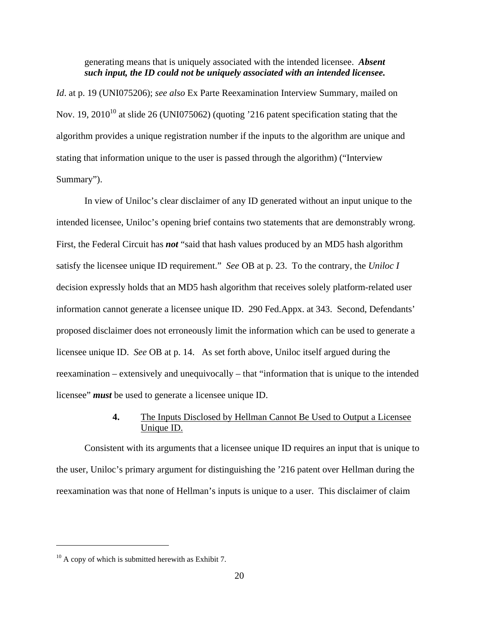generating means that is uniquely associated with the intended licensee. *Absent such input, the ID could not be uniquely associated with an intended licensee.*

*Id*. at p. 19 (UNI075206); *see also* Ex Parte Reexamination Interview Summary, mailed on Nov. 19, 2010<sup>10</sup> at slide 26 (UNI075062) (quoting '216 patent specification stating that the algorithm provides a unique registration number if the inputs to the algorithm are unique and stating that information unique to the user is passed through the algorithm) ("Interview Summary").

In view of Uniloc's clear disclaimer of any ID generated without an input unique to the intended licensee, Uniloc's opening brief contains two statements that are demonstrably wrong. First, the Federal Circuit has *not* "said that hash values produced by an MD5 hash algorithm satisfy the licensee unique ID requirement." *See* OB at p. 23. To the contrary, the *Uniloc I* decision expressly holds that an MD5 hash algorithm that receives solely platform-related user information cannot generate a licensee unique ID. 290 Fed.Appx. at 343. Second, Defendants' proposed disclaimer does not erroneously limit the information which can be used to generate a licensee unique ID. *See* OB at p. 14. As set forth above, Uniloc itself argued during the reexamination – extensively and unequivocally – that "information that is unique to the intended licensee" *must* be used to generate a licensee unique ID.

### **4.** The Inputs Disclosed by Hellman Cannot Be Used to Output a Licensee Unique ID.

Consistent with its arguments that a licensee unique ID requires an input that is unique to the user, Uniloc's primary argument for distinguishing the '216 patent over Hellman during the reexamination was that none of Hellman's inputs is unique to a user. This disclaimer of claim

 $\overline{a}$ 

 $10$  A copy of which is submitted herewith as Exhibit 7.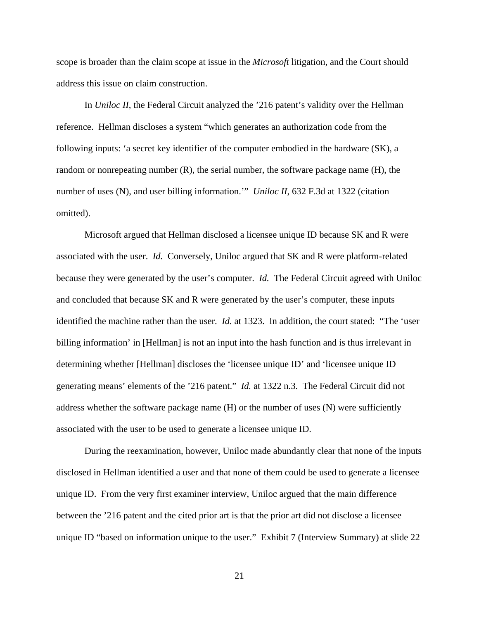scope is broader than the claim scope at issue in the *Microsoft* litigation, and the Court should address this issue on claim construction.

In *Uniloc II*, the Federal Circuit analyzed the '216 patent's validity over the Hellman reference. Hellman discloses a system "which generates an authorization code from the following inputs: 'a secret key identifier of the computer embodied in the hardware (SK), a random or nonrepeating number (R), the serial number, the software package name (H), the number of uses (N), and user billing information." *Uniloc II*, 632 F.3d at 1322 (citation omitted).

Microsoft argued that Hellman disclosed a licensee unique ID because SK and R were associated with the user. *Id.* Conversely, Uniloc argued that SK and R were platform-related because they were generated by the user's computer. *Id.* The Federal Circuit agreed with Uniloc and concluded that because SK and R were generated by the user's computer, these inputs identified the machine rather than the user. *Id.* at 1323. In addition, the court stated: "The 'user billing information' in [Hellman] is not an input into the hash function and is thus irrelevant in determining whether [Hellman] discloses the 'licensee unique ID' and 'licensee unique ID generating means' elements of the '216 patent." *Id.* at 1322 n.3. The Federal Circuit did not address whether the software package name (H) or the number of uses (N) were sufficiently associated with the user to be used to generate a licensee unique ID.

During the reexamination, however, Uniloc made abundantly clear that none of the inputs disclosed in Hellman identified a user and that none of them could be used to generate a licensee unique ID. From the very first examiner interview, Uniloc argued that the main difference between the '216 patent and the cited prior art is that the prior art did not disclose a licensee unique ID "based on information unique to the user." Exhibit 7 (Interview Summary) at slide 22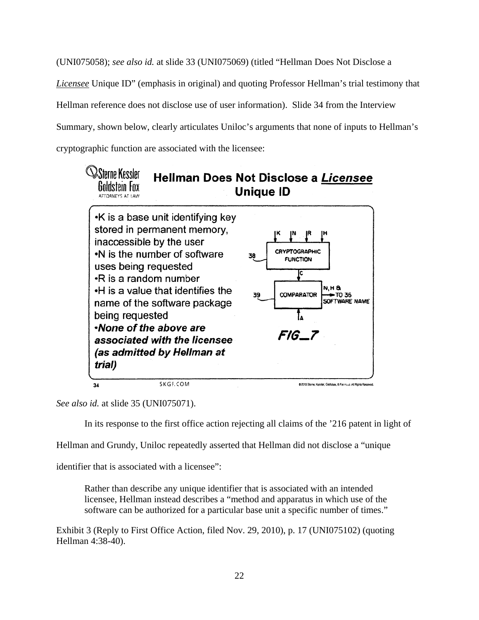(UNI075058); *see also id.* at slide 33 (UNI075069) (titled "Hellman Does Not Disclose a *Licensee* Unique ID" (emphasis in original) and quoting Professor Hellman's trial testimony that Hellman reference does not disclose use of user information). Slide 34 from the Interview Summary, shown below, clearly articulates Uniloc's arguments that none of inputs to Hellman's cryptographic function are associated with the licensee:



*See also id.* at slide 35 (UNI075071).

In its response to the first office action rejecting all claims of the '216 patent in light of

Hellman and Grundy, Uniloc repeatedly asserted that Hellman did not disclose a "unique

identifier that is associated with a licensee":

Rather than describe any unique identifier that is associated with an intended licensee, Hellman instead describes a "method and apparatus in which use of the software can be authorized for a particular base unit a specific number of times."

Exhibit 3 (Reply to First Office Action, filed Nov. 29, 2010), p. 17 (UNI075102) (quoting Hellman 4:38-40).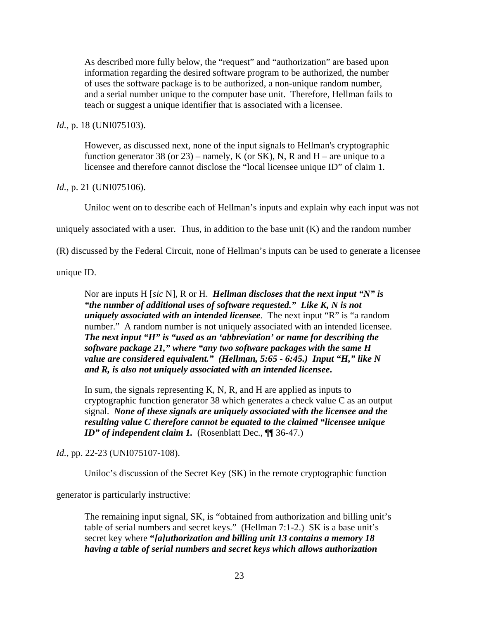As described more fully below, the "request" and "authorization" are based upon information regarding the desired software program to be authorized, the number of uses the software package is to be authorized, a non-unique random number, and a serial number unique to the computer base unit. Therefore, Hellman fails to teach or suggest a unique identifier that is associated with a licensee.

#### *Id.*, p. 18 (UNI075103).

However, as discussed next, none of the input signals to Hellman's cryptographic function generator 38 (or 23) – namely, K (or SK), N, R and H – are unique to a licensee and therefore cannot disclose the "local licensee unique ID" of claim 1.

#### *Id.*, p. 21 (UNI075106).

Uniloc went on to describe each of Hellman's inputs and explain why each input was not

uniquely associated with a user. Thus, in addition to the base unit  $(K)$  and the random number

(R) discussed by the Federal Circuit, none of Hellman's inputs can be used to generate a licensee

unique ID.

Nor are inputs H [*sic* N], R or H. *Hellman discloses that the next input "N" is "the number of additional uses of software requested." Like K, N is not uniquely associated with an intended licensee*. The next input "R" is "a random number." A random number is not uniquely associated with an intended licensee. *The next input "H" is "used as an 'abbreviation' or name for describing the software package 21," where "any two software packages with the same H value are considered equivalent." (Hellman, 5:65 - 6:45.) Input "H," like N and R, is also not uniquely associated with an intended licensee***.**

In sum, the signals representing K, N, R, and H are applied as inputs to cryptographic function generator 38 which generates a check value C as an output signal. *None of these signals are uniquely associated with the licensee and the resulting value C therefore cannot be equated to the claimed "licensee unique <i>ID*" of independent claim 1. (Rosenblatt Dec.,  $\P$  36-47.)

#### *Id.*, pp. 22-23 (UNI075107-108).

Uniloc's discussion of the Secret Key (SK) in the remote cryptographic function

generator is particularly instructive:

The remaining input signal, SK, is "obtained from authorization and billing unit's table of serial numbers and secret keys." (Hellman 7:1-2.) SK is a base unit's secret key where **"***[a]uthorization and billing unit 13 contains a memory 18 having a table of serial numbers and secret keys which allows authorization*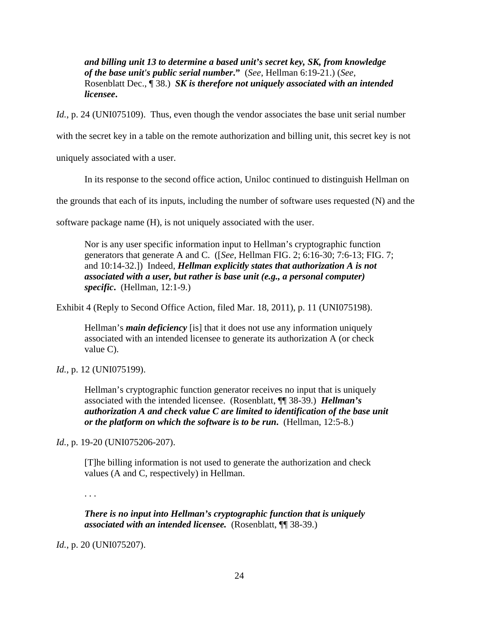*and billing unit 13 to determine a based unit's secret key, SK, from knowledge of the base unit's public serial number***."** (*See*, Hellman 6:19-21.) (*See*, Rosenblatt Dec., ¶ 38.) *SK is therefore not uniquely associated with an intended licensee***.**

*Id.*, p. 24 (UNI075109). Thus, even though the vendor associates the base unit serial number

with the secret key in a table on the remote authorization and billing unit, this secret key is not

uniquely associated with a user.

In its response to the second office action, Uniloc continued to distinguish Hellman on

the grounds that each of its inputs, including the number of software uses requested (N) and the

software package name (H), is not uniquely associated with the user.

Nor is any user specific information input to Hellman's cryptographic function generators that generate A and C. ([*See,* Hellman FIG. 2; 6:16-30; 7:6-13; FIG. 7; and 10:14-32.]) Indeed, *Hellman explicitly states that authorization A is not associated with a user, but rather is base unit (e.g., a personal computer) specific***.** (Hellman, 12:1-9.)

Exhibit 4 (Reply to Second Office Action, filed Mar. 18, 2011), p. 11 (UNI075198).

Hellman's *main deficiency* [is] that it does not use any information uniquely associated with an intended licensee to generate its authorization A (or check value C).

*Id.*, p. 12 (UNI075199).

Hellman's cryptographic function generator receives no input that is uniquely associated with the intended licensee. (Rosenblatt, ¶¶ 38-39.) *Hellman's authorization A and check value C are limited to identification of the base unit or the platform on which the software is to be run***.** (Hellman, 12:5-8.)

*Id.*, p. 19-20 (UNI075206-207).

[T]he billing information is not used to generate the authorization and check values (A and C, respectively) in Hellman.

. . .

*There is no input into Hellman's cryptographic function that is uniquely associated with an intended licensee.* (Rosenblatt, ¶¶ 38-39.)

*Id.*, p. 20 (UNI075207).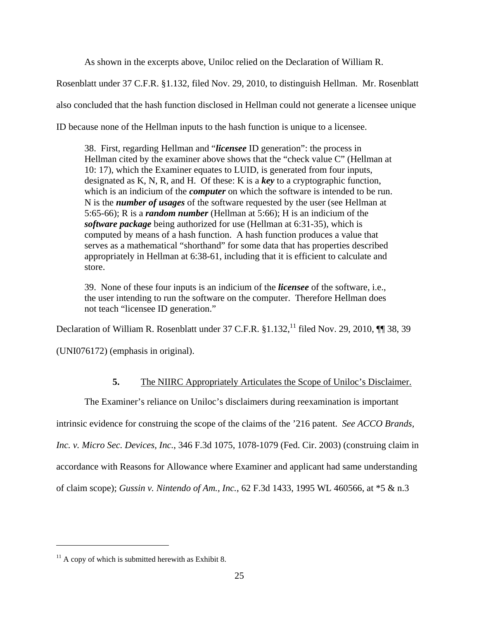As shown in the excerpts above, Uniloc relied on the Declaration of William R.

Rosenblatt under 37 C.F.R. §1.132, filed Nov. 29, 2010, to distinguish Hellman. Mr. Rosenblatt also concluded that the hash function disclosed in Hellman could not generate a licensee unique ID because none of the Hellman inputs to the hash function is unique to a licensee.

38. First, regarding Hellman and "*licensee* ID generation": the process in Hellman cited by the examiner above shows that the "check value C" (Hellman at 10: 17), which the Examiner equates to LUID, is generated from four inputs, designated as K, N, R, and H. Of these: K is a *key* to a cryptographic function, which is an indicium of the *computer* on which the software is intended to be run. N is the *number of usages* of the software requested by the user (see Hellman at 5:65-66); R is a *random number* (Hellman at 5:66); H is an indicium of the *software package* being authorized for use (Hellman at 6:31-35), which is computed by means of a hash function. A hash function produces a value that serves as a mathematical "shorthand" for some data that has properties described appropriately in Hellman at 6:38-61, including that it is efficient to calculate and store.

39. None of these four inputs is an indicium of the *licensee* of the software, i.e., the user intending to run the software on the computer. Therefore Hellman does not teach "licensee ID generation."

Declaration of William R. Rosenblatt under 37 C.F.R.  $§1.132$ ,<sup>11</sup> filed Nov. 29, 2010, ¶ 38, 39

(UNI076172) (emphasis in original).

## **5.** The NIIRC Appropriately Articulates the Scope of Uniloc's Disclaimer.

The Examiner's reliance on Uniloc's disclaimers during reexamination is important

intrinsic evidence for construing the scope of the claims of the '216 patent. *See ACCO Brands,* 

*Inc. v. Micro Sec. Devices, Inc.*, 346 F.3d 1075, 1078-1079 (Fed. Cir. 2003) (construing claim in

accordance with Reasons for Allowance where Examiner and applicant had same understanding

of claim scope); *Gussin v. Nintendo of Am., Inc.*, 62 F.3d 1433, 1995 WL 460566, at \*5 & n.3

 $\overline{a}$ 

 $11$  A copy of which is submitted herewith as Exhibit 8.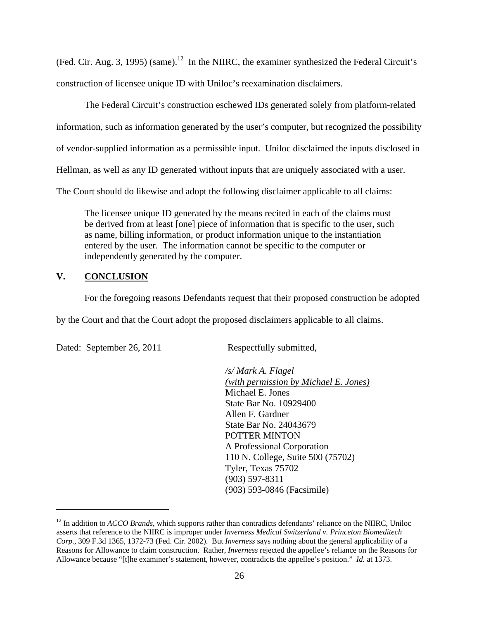(Fed. Cir. Aug. 3, 1995) (same).<sup>12</sup> In the NIIRC, the examiner synthesized the Federal Circuit's construction of licensee unique ID with Uniloc's reexamination disclaimers.

The Federal Circuit's construction eschewed IDs generated solely from platform-related information, such as information generated by the user's computer, but recognized the possibility of vendor-supplied information as a permissible input. Uniloc disclaimed the inputs disclosed in Hellman, as well as any ID generated without inputs that are uniquely associated with a user. The Court should do likewise and adopt the following disclaimer applicable to all claims:

The licensee unique ID generated by the means recited in each of the claims must be derived from at least [one] piece of information that is specific to the user, such as name, billing information, or product information unique to the instantiation entered by the user. The information cannot be specific to the computer or independently generated by the computer.

### **V. CONCLUSION**

For the foregoing reasons Defendants request that their proposed construction be adopted

by the Court and that the Court adopt the proposed disclaimers applicable to all claims.

Dated: September 26, 2011 Respectfully submitted,

 $\overline{a}$ 

*/s/ Mark A. Flagel (with permission by Michael E. Jones)*  Michael E. Jones State Bar No. 10929400 Allen F. Gardner State Bar No. 24043679 POTTER MINTON A Professional Corporation 110 N. College, Suite 500 (75702) Tyler, Texas 75702 (903) 597-8311 (903) 593-0846 (Facsimile)

<sup>&</sup>lt;sup>12</sup> In addition to *ACCO Brands*, which supports rather than contradicts defendants' reliance on the NIIRC, Uniloc asserts that reference to the NIIRC is improper under *Inverness Medical Switzerland v. Princeton Biomeditech Corp.*, 309 F.3d 1365, 1372-73 (Fed. Cir. 2002). But *Inverness* says nothing about the general applicability of a Reasons for Allowance to claim construction. Rather, *Inverness* rejected the appellee's reliance on the Reasons for Allowance because "[t]he examiner's statement, however, contradicts the appellee's position." *Id.* at 1373.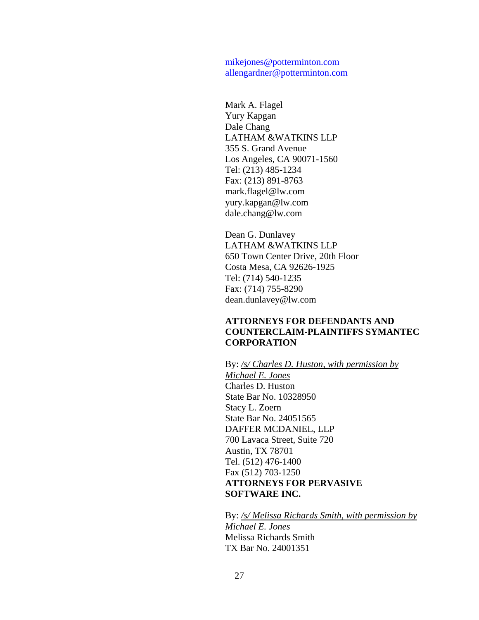mikejones@potterminton.com allengardner@potterminton.com

Mark A. Flagel Yury Kapgan Dale Chang LATHAM &WATKINS LLP 355 S. Grand Avenue Los Angeles, CA 90071-1560 Tel: (213) 485-1234 Fax: (213) 891-8763 mark.flagel@lw.com yury.kapgan@lw.com dale.chang@lw.com

Dean G. Dunlavey LATHAM &WATKINS LLP 650 Town Center Drive, 20th Floor Costa Mesa, CA 92626-1925 Tel: (714) 540-1235 Fax: (714) 755-8290 dean.dunlavey@lw.com

### **ATTORNEYS FOR DEFENDANTS AND COUNTERCLAIM-PLAINTIFFS SYMANTEC CORPORATION**

By: */s/ Charles D. Huston, with permission by Michael E. Jones* Charles D. Huston State Bar No. 10328950 Stacy L. Zoern State Bar No. 24051565 DAFFER MCDANIEL, LLP 700 Lavaca Street, Suite 720 Austin, TX 78701 Tel. (512) 476-1400 Fax (512) 703-1250 **ATTORNEYS FOR PERVASIVE SOFTWARE INC.** 

By: */s/ Melissa Richards Smith, with permission by Michael E. Jones*  Melissa Richards Smith TX Bar No. 24001351